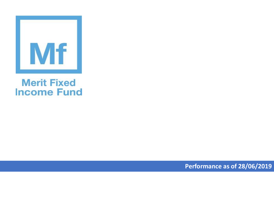

## **Merit Fixed Income Fund**

**Performance as of 28/06/2019**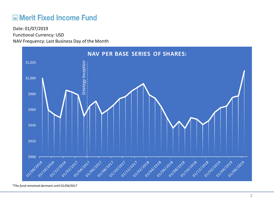## **ME Merit Fixed Income Fund**

Functional Currency: USD NAV Frequency: Last Business Day of the Month